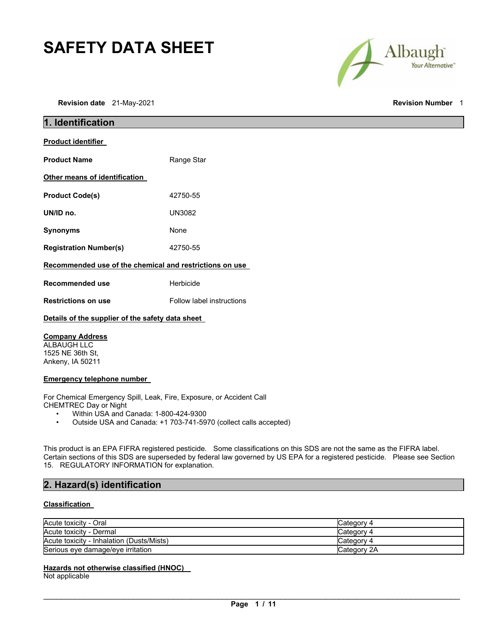# **SAFETY DATA SHEET**

**Revision date** 21-May-2021 **Revision Number** 1

**1. Identification** 



# **Product identifier Product Name Range Star Other means of identification Product Code(s)** 42750-55 **UN/ID no.** UN3082 **Synonyms** None **Registration Number(s)** 42750-55 **Recommended use of the chemical and restrictions on use Recommended use Herbicide**

**Restrictions on use Follow label instructions** 

## **Details of the supplier of the safety data sheet**

## **Company Address**

ALBAUGH LLC 1525 NE 36th St, Ankeny, IA 50211

## **Emergency telephone number**

For Chemical Emergency Spill, Leak, Fire, Exposure, or Accident Call CHEMTREC Day or Night

- Within USA and Canada: 1-800-424-9300
- Outside USA and Canada: +1 703-741-5970 (collect calls accepted)

This product is an EPA FIFRA registered pesticide. Some classifications on this SDS are not the same as the FIFRA label. Certain sections of this SDS are superseded by federal law governed by US EPA for a registered pesticide. Please see Section 15. REGULATORY INFORMATION for explanation.

## **2. Hazard(s) identification**

## **Classification**

| Acute toxicity - Oral                     | Category 4  |
|-------------------------------------------|-------------|
| Acute toxicity - Dermal                   | Category 4  |
| Acute toxicity - Inhalation (Dusts/Mists) | Category 4  |
| Serious eye damage/eye irritation         | Category 2A |

## **Hazards not otherwise classified (HNOC)**

Not applicable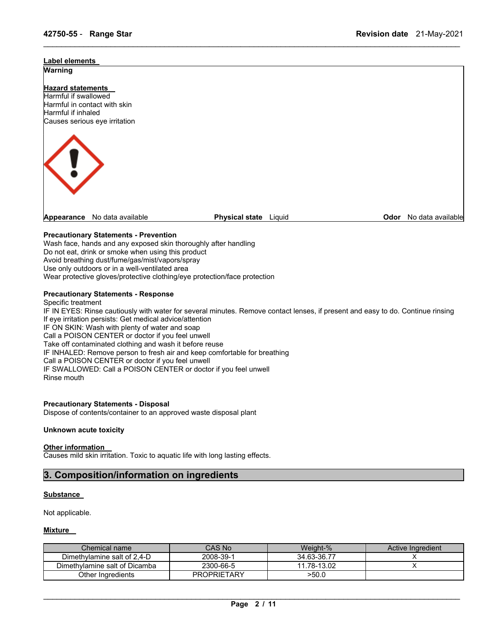| Label elements                                                         |                                                               |                       |                        |
|------------------------------------------------------------------------|---------------------------------------------------------------|-----------------------|------------------------|
| <b>Warning</b>                                                         |                                                               |                       |                        |
| <b>Hazard statements</b><br>Harmful if swallowed<br>Harmful if inhaled | Harmful in contact with skin<br>Causes serious eye irritation |                       |                        |
| $\sqrt{2}$                                                             |                                                               |                       |                        |
|                                                                        | Appearance No data available                                  | Physical state Liquid | Odor No data available |

\_\_\_\_\_\_\_\_\_\_\_\_\_\_\_\_\_\_\_\_\_\_\_\_\_\_\_\_\_\_\_\_\_\_\_\_\_\_\_\_\_\_\_\_\_\_\_\_\_\_\_\_\_\_\_\_\_\_\_\_\_\_\_\_\_\_\_\_\_\_\_\_\_\_\_\_\_\_\_\_\_\_\_\_\_\_\_\_\_\_\_\_\_

## **Precautionary Statements - Prevention**

Wash face, hands and any exposed skin thoroughly after handling Do not eat, drink or smoke when using this product Avoid breathing dust/fume/gas/mist/vapors/spray Use only outdoors or in a well-ventilated area Wear protective gloves/protective clothing/eye protection/face protection

## **Precautionary Statements - Response**

Specific treatment

IF IN EYES: Rinse cautiously with water for several minutes. Remove contact lenses, if present and easy to do. Continue rinsing If eye irritation persists: Get medical advice/attention IF ON SKIN: Wash with plenty of water and soap Call a POISON CENTER or doctor if you feel unwell Take off contaminated clothing and wash it before reuse IF INHALED: Remove person to fresh air and keep comfortable for breathing Call a POISON CENTER or doctor if you feel unwell IF SWALLOWED: Call a POISON CENTER or doctor if you feel unwell Rinse mouth

## **Precautionary Statements - Disposal**

Dispose of contents/container to an approved waste disposal plant

## **Unknown acute toxicity**

#### **Other information**

Causes mild skin irritation. Toxic to aquatic life with long lasting effects.

## **3. Composition/information on ingredients**

## **Substance**

Not applicable.

## **Mixture**

| Chemical name                 | CAS No             | Weight-%    | Active Ingredient |
|-------------------------------|--------------------|-------------|-------------------|
| Dimethylamine salt of 2.4-D   | 2008-39-1          | 34.63-36.77 |                   |
| Dimethylamine salt of Dicamba | 2300-66-5          | 11.78-13.02 |                   |
| Other Ingredients             | <b>PROPRIETARY</b> | >50.0       |                   |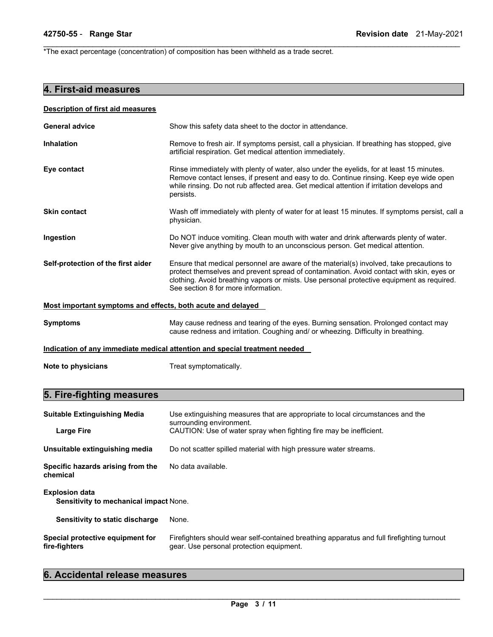\*The exact percentage (concentration) of composition has been withheld as a trade secret.

## **4. First-aid measures**

| Description of first aid measures |  |  |
|-----------------------------------|--|--|
|                                   |  |  |

| <b>General advice</b>                                                      | Show this safety data sheet to the doctor in attendance.                                                                                                                                                                                                                                                                 |  |
|----------------------------------------------------------------------------|--------------------------------------------------------------------------------------------------------------------------------------------------------------------------------------------------------------------------------------------------------------------------------------------------------------------------|--|
| <b>Inhalation</b>                                                          | Remove to fresh air. If symptoms persist, call a physician. If breathing has stopped, give<br>artificial respiration. Get medical attention immediately.                                                                                                                                                                 |  |
| Eye contact                                                                | Rinse immediately with plenty of water, also under the eyelids, for at least 15 minutes.<br>Remove contact lenses, if present and easy to do. Continue rinsing. Keep eye wide open<br>while rinsing. Do not rub affected area. Get medical attention if irritation develops and<br>persists.                             |  |
| <b>Skin contact</b>                                                        | Wash off immediately with plenty of water for at least 15 minutes. If symptoms persist, call a<br>physician.                                                                                                                                                                                                             |  |
| Ingestion                                                                  | Do NOT induce vomiting. Clean mouth with water and drink afterwards plenty of water.<br>Never give anything by mouth to an unconscious person. Get medical attention.                                                                                                                                                    |  |
| Self-protection of the first aider                                         | Ensure that medical personnel are aware of the material(s) involved, take precautions to<br>protect themselves and prevent spread of contamination. Avoid contact with skin, eyes or<br>clothing. Avoid breathing vapors or mists. Use personal protective equipment as required.<br>See section 8 for more information. |  |
| Most important symptoms and effects, both acute and delayed                |                                                                                                                                                                                                                                                                                                                          |  |
| <b>Symptoms</b>                                                            | May cause redness and tearing of the eyes. Burning sensation. Prolonged contact may<br>cause redness and irritation. Coughing and/ or wheezing. Difficulty in breathing.                                                                                                                                                 |  |
| Indication of any immediate medical attention and special treatment needed |                                                                                                                                                                                                                                                                                                                          |  |
| Note to physicians                                                         | Treat symptomatically.                                                                                                                                                                                                                                                                                                   |  |

\_\_\_\_\_\_\_\_\_\_\_\_\_\_\_\_\_\_\_\_\_\_\_\_\_\_\_\_\_\_\_\_\_\_\_\_\_\_\_\_\_\_\_\_\_\_\_\_\_\_\_\_\_\_\_\_\_\_\_\_\_\_\_\_\_\_\_\_\_\_\_\_\_\_\_\_\_\_\_\_\_\_\_\_\_\_\_\_\_\_\_\_\_

## **5. Fire-fighting measures**

| <b>Suitable Extinguishing Media</b>                                    | Use extinguishing measures that are appropriate to local circumstances and the<br>surrounding environment.<br>CAUTION: Use of water spray when fighting fire may be inefficient. |  |
|------------------------------------------------------------------------|----------------------------------------------------------------------------------------------------------------------------------------------------------------------------------|--|
| <b>Large Fire</b>                                                      |                                                                                                                                                                                  |  |
| Unsuitable extinguishing media                                         | Do not scatter spilled material with high pressure water streams.                                                                                                                |  |
| Specific hazards arising from the<br>chemical                          | No data available.                                                                                                                                                               |  |
| <b>Explosion data</b><br><b>Sensitivity to mechanical impact None.</b> |                                                                                                                                                                                  |  |
| Sensitivity to static discharge                                        | None.                                                                                                                                                                            |  |
| Special protective equipment for<br>fire-fighters                      | Firefighters should wear self-contained breathing apparatus and full firefighting turnout<br>gear. Use personal protection equipment.                                            |  |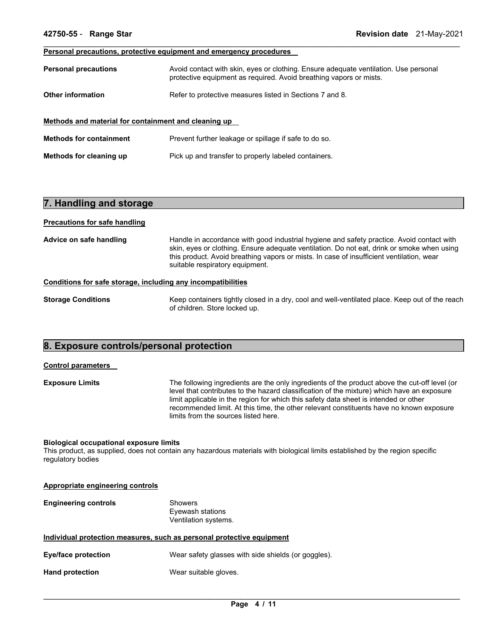## **Personal precautions, protective equipment and emergency procedures**

| <b>Personal precautions</b>                          | Avoid contact with skin, eyes or clothing. Ensure adequate ventilation. Use personal<br>protective equipment as required. Avoid breathing vapors or mists. |
|------------------------------------------------------|------------------------------------------------------------------------------------------------------------------------------------------------------------|
| Other information                                    | Refer to protective measures listed in Sections 7 and 8.                                                                                                   |
| Methods and material for containment and cleaning up |                                                                                                                                                            |
| <b>Methods for containment</b>                       | Prevent further leakage or spillage if safe to do so.                                                                                                      |

\_\_\_\_\_\_\_\_\_\_\_\_\_\_\_\_\_\_\_\_\_\_\_\_\_\_\_\_\_\_\_\_\_\_\_\_\_\_\_\_\_\_\_\_\_\_\_\_\_\_\_\_\_\_\_\_\_\_\_\_\_\_\_\_\_\_\_\_\_\_\_\_\_\_\_\_\_\_\_\_\_\_\_\_\_\_\_\_\_\_\_\_\_

## **Methods for cleaning up** Pick up and transfer to properly labeled containers.

## **7. Handling and storage**

## **Precautions for safe handling**

| Advice on safe handling | Handle in accordance with good industrial hygiene and safety practice. Avoid contact with<br>skin, eyes or clothing. Ensure adequate ventilation. Do not eat, drink or smoke when using<br>this product. Avoid breathing vapors or mists. In case of insufficient ventilation, wear<br>suitable respiratory equipment. |
|-------------------------|------------------------------------------------------------------------------------------------------------------------------------------------------------------------------------------------------------------------------------------------------------------------------------------------------------------------|
|                         |                                                                                                                                                                                                                                                                                                                        |

## **Conditions for safe storage, including any incompatibilities**

| <b>Storage Conditions</b> | Keep containers tightly closed in a dry, cool and well-ventilated place. Keep out of the reach |
|---------------------------|------------------------------------------------------------------------------------------------|
|                           | of children. Store locked up.                                                                  |

## **8. Exposure controls/personal protection**

## **Control parameters**

**Exposure Limits** The following ingredients are the only ingredients of the product above the cut-off level (or level that contributes to the hazard classification of the mixture) which have an exposure limit applicable in the region for which this safety data sheet is intended or other recommended limit. At this time, the other relevant constituents have no known exposure limits from the sources listed here.

## **Biological occupational exposure limits**

This product, as supplied, does not contain any hazardous materials with biological limits established by the region specific regulatory bodies

| Appropriate engineering controls |                                                                       |
|----------------------------------|-----------------------------------------------------------------------|
| <b>Engineering controls</b>      | <b>Showers</b><br>Eyewash stations<br>Ventilation systems.            |
|                                  | Individual protection measures, such as personal protective equipment |
| <b>Eye/face protection</b>       | Wear safety glasses with side shields (or goggles).                   |
| <b>Hand protection</b>           | Wear suitable gloves.                                                 |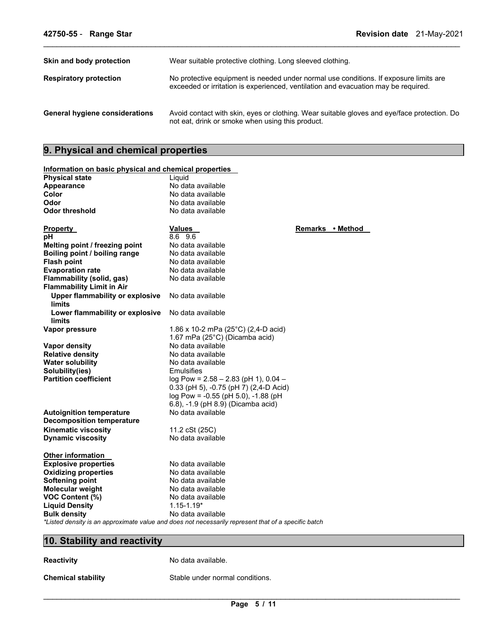| Skin and body protection              | Wear suitable protective clothing. Long sleeved clothing.                                                                                                                   |
|---------------------------------------|-----------------------------------------------------------------------------------------------------------------------------------------------------------------------------|
| <b>Respiratory protection</b>         | No protective equipment is needed under normal use conditions. If exposure limits are<br>exceeded or irritation is experienced, ventilation and evacuation may be required. |
| <b>General hygiene considerations</b> | Avoid contact with skin, eyes or clothing. Wear suitable gloves and eye/face protection. Do<br>not eat, drink or smoke when using this product.                             |

\_\_\_\_\_\_\_\_\_\_\_\_\_\_\_\_\_\_\_\_\_\_\_\_\_\_\_\_\_\_\_\_\_\_\_\_\_\_\_\_\_\_\_\_\_\_\_\_\_\_\_\_\_\_\_\_\_\_\_\_\_\_\_\_\_\_\_\_\_\_\_\_\_\_\_\_\_\_\_\_\_\_\_\_\_\_\_\_\_\_\_\_\_

## **9. Physical and chemical properties**

| Information on basic physical and chemical properties |                                                                                                     |                  |  |  |
|-------------------------------------------------------|-----------------------------------------------------------------------------------------------------|------------------|--|--|
| <b>Physical state</b>                                 | Liquid                                                                                              |                  |  |  |
| Appearance                                            | No data available                                                                                   |                  |  |  |
| Color                                                 | No data available                                                                                   |                  |  |  |
| Odor                                                  | No data available                                                                                   |                  |  |  |
| Odor threshold                                        | No data available                                                                                   |                  |  |  |
|                                                       |                                                                                                     |                  |  |  |
| <b>Property</b>                                       | <b>Values</b>                                                                                       | Remarks • Method |  |  |
| рH                                                    | 8.6 9.6                                                                                             |                  |  |  |
| Melting point / freezing point                        | No data available                                                                                   |                  |  |  |
| Boiling point / boiling range                         | No data available                                                                                   |                  |  |  |
| <b>Flash point</b>                                    | No data available                                                                                   |                  |  |  |
| <b>Evaporation rate</b>                               | No data available                                                                                   |                  |  |  |
| Flammability (solid, gas)                             | No data available                                                                                   |                  |  |  |
| <b>Flammability Limit in Air</b>                      |                                                                                                     |                  |  |  |
| <b>Upper flammability or explosive</b>                | No data available                                                                                   |                  |  |  |
| limits                                                |                                                                                                     |                  |  |  |
| Lower flammability or explosive                       | No data available                                                                                   |                  |  |  |
| limits                                                |                                                                                                     |                  |  |  |
| Vapor pressure                                        | 1.86 x 10-2 mPa (25 $^{\circ}$ C) (2,4-D acid)                                                      |                  |  |  |
|                                                       | 1.67 mPa (25°C) (Dicamba acid)                                                                      |                  |  |  |
| <b>Vapor density</b>                                  | No data available                                                                                   |                  |  |  |
| <b>Relative density</b>                               | No data available                                                                                   |                  |  |  |
| <b>Water solubility</b>                               | No data available                                                                                   |                  |  |  |
| Solubility(ies)                                       | Emulsifies                                                                                          |                  |  |  |
| <b>Partition coefficient</b>                          | $log Pow = 2.58 - 2.83$ (pH 1), 0.04 -                                                              |                  |  |  |
|                                                       | 0.33 (pH 5), -0.75 (pH 7) (2,4-D Acid)                                                              |                  |  |  |
|                                                       | log Pow = -0.55 (pH 5.0), -1.88 (pH                                                                 |                  |  |  |
|                                                       | 6.8), -1.9 (pH 8.9) (Dicamba acid)                                                                  |                  |  |  |
| <b>Autoignition temperature</b>                       | No data available                                                                                   |                  |  |  |
| <b>Decomposition temperature</b>                      |                                                                                                     |                  |  |  |
| <b>Kinematic viscosity</b>                            | 11.2 cSt (25C)                                                                                      |                  |  |  |
| <b>Dynamic viscosity</b>                              | No data available                                                                                   |                  |  |  |
|                                                       |                                                                                                     |                  |  |  |
| <b>Other information</b>                              |                                                                                                     |                  |  |  |
| <b>Explosive properties</b>                           | No data available                                                                                   |                  |  |  |
| <b>Oxidizing properties</b>                           | No data available                                                                                   |                  |  |  |
| <b>Softening point</b>                                | No data available                                                                                   |                  |  |  |
| Molecular weight                                      | No data available                                                                                   |                  |  |  |
| <b>VOC Content (%)</b>                                | No data available                                                                                   |                  |  |  |
| <b>Liquid Density</b>                                 | $1.15 - 1.19*$                                                                                      |                  |  |  |
| <b>Bulk density</b>                                   | No data available                                                                                   |                  |  |  |
|                                                       | *Listed density is an approximate value and does not necessarily represent that of a specific batch |                  |  |  |

## **10. Stability and reactivity**

**Reactivity No data available.** 

**Chemical stability Stable under normal conditions.**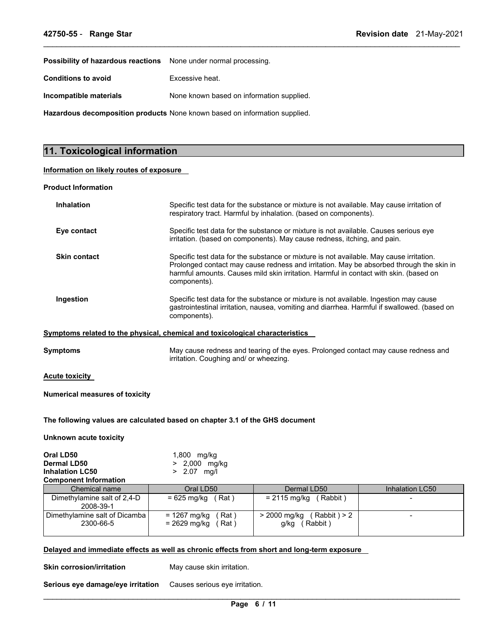**Possibility of hazardous reactions** None under normal processing.

**Conditions to avoid Excessive heat.** 

**Incompatible materials None known based on information supplied.** 

**Hazardous decomposition products** None known based on information supplied.

## **11. Toxicological information**

## **Information on likely routes of exposure**

#### **Product Information**

| <b>Inhalation</b>   | Specific test data for the substance or mixture is not available. May cause irritation of<br>respiratory tract. Harmful by inhalation. (based on components).                                                                                                                               |
|---------------------|---------------------------------------------------------------------------------------------------------------------------------------------------------------------------------------------------------------------------------------------------------------------------------------------|
| Eye contact         | Specific test data for the substance or mixture is not available. Causes serious eye<br>irritation. (based on components). May cause redness, itching, and pain.                                                                                                                            |
| <b>Skin contact</b> | Specific test data for the substance or mixture is not available. May cause irritation.<br>Prolonged contact may cause redness and irritation. May be absorbed through the skin in<br>harmful amounts. Causes mild skin irritation. Harmful in contact with skin. (based on<br>components). |
| Ingestion           | Specific test data for the substance or mixture is not available. Ingestion may cause<br>gastrointestinal irritation, nausea, vomiting and diarrhea. Harmful if swallowed. (based on<br>components).                                                                                        |
|                     | Symptoms related to the physical, chemical and toxicological characteristics                                                                                                                                                                                                                |
| <b>Symptoms</b>     | May cause redness and tearing of the eyes. Prolonged contact may cause redness and                                                                                                                                                                                                          |

\_\_\_\_\_\_\_\_\_\_\_\_\_\_\_\_\_\_\_\_\_\_\_\_\_\_\_\_\_\_\_\_\_\_\_\_\_\_\_\_\_\_\_\_\_\_\_\_\_\_\_\_\_\_\_\_\_\_\_\_\_\_\_\_\_\_\_\_\_\_\_\_\_\_\_\_\_\_\_\_\_\_\_\_\_\_\_\_\_\_\_\_\_

irritation. Coughing and/ or wheezing.

## **Acute toxicity**

**Numerical measures of toxicity**

## **The following values are calculated based on chapter 3.1 of the GHS document**

## **Unknown acute toxicity**

| Oral LD50<br>Dermal LD50<br><b>Inhalation LC50</b><br><b>Component Information</b> | 1,800 mg/kg<br>> 2,000 mg/kg<br>$> 2.07$ mg/l |
|------------------------------------------------------------------------------------|-----------------------------------------------|
| <b>Chemical name</b>                                                               | Oral LD50                                     |
| Dimethylamine salt of 2 1-D                                                        | $=$ 625 malka (Rat)                           |

| Chemical name                 | Oral LD50             | Dermal LD50                  | Inhalation LC50 |
|-------------------------------|-----------------------|------------------------------|-----------------|
| Dimethylamine salt of 2,4-D   | $= 625$ mg/kg (Rat)   | $= 2115$ mg/kg (Rabbit)      |                 |
| 2008-39-1                     |                       |                              |                 |
| Dimethylamine salt of Dicamba | = 1267 mg/kg<br>(Rat) | > 2000 mg/kg<br>(Rabbit) > 2 |                 |
| 2300-66-5                     | = 2629 mg/kg<br>(Rat) | Rabbit)<br>g/kg              |                 |
|                               |                       |                              |                 |

## **Delayed and immediate effects as well as chronic effects from short and long-term exposure**

**Skin corrosion/irritation May cause skin irritation.** 

**Serious eye damage/eye irritation** Causes serious eye irritation.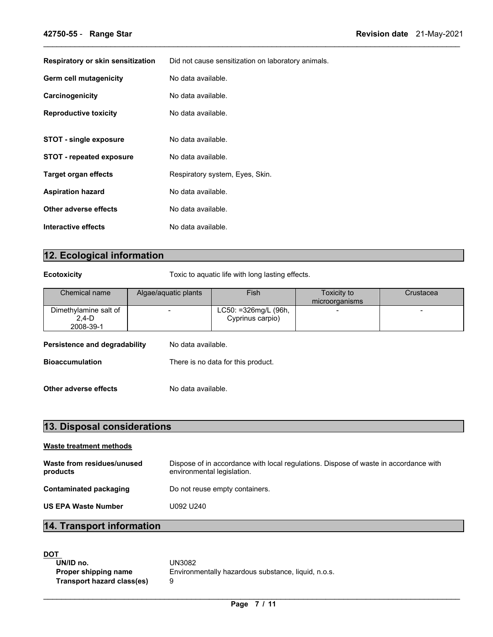| Respiratory or skin sensitization | Did not cause sensitization on laboratory animals. |
|-----------------------------------|----------------------------------------------------|
| Germ cell mutagenicity            | No data available.                                 |
| Carcinogenicity                   | No data available.                                 |
| <b>Reproductive toxicity</b>      | No data available.                                 |
|                                   |                                                    |
| <b>STOT - single exposure</b>     | No data available.                                 |
| <b>STOT</b> - repeated exposure   | No data available.                                 |
| Target organ effects              | Respiratory system, Eyes, Skin.                    |
| <b>Aspiration hazard</b>          | No data available.                                 |
| Other adverse effects             | No data available.                                 |
| Interactive effects               | No data available.                                 |

## **12. Ecological information**

**Ecotoxicity Toxic to aquatic life with long lasting effects.** 

| Chemical name                                 | Algae/aquatic plants |                                    | Fish                                     | Toxicity to<br>microorganisms | Crustacea |
|-----------------------------------------------|----------------------|------------------------------------|------------------------------------------|-------------------------------|-----------|
| Dimethylamine salt of<br>$2.4-D$<br>2008-39-1 |                      |                                    | LC50: =326mg/L (96h,<br>Cyprinus carpio) | $\overline{\phantom{0}}$      |           |
| <b>Persistence and degradability</b>          |                      | No data available.                 |                                          |                               |           |
| <b>Bioaccumulation</b>                        |                      | There is no data for this product. |                                          |                               |           |
|                                               |                      |                                    |                                          |                               |           |

\_\_\_\_\_\_\_\_\_\_\_\_\_\_\_\_\_\_\_\_\_\_\_\_\_\_\_\_\_\_\_\_\_\_\_\_\_\_\_\_\_\_\_\_\_\_\_\_\_\_\_\_\_\_\_\_\_\_\_\_\_\_\_\_\_\_\_\_\_\_\_\_\_\_\_\_\_\_\_\_\_\_\_\_\_\_\_\_\_\_\_\_\_

| Other adverse effects | No data available. |
|-----------------------|--------------------|
|                       |                    |

| 13. Disposal considerations            |                                                                                                                    |  |
|----------------------------------------|--------------------------------------------------------------------------------------------------------------------|--|
| Waste treatment methods                |                                                                                                                    |  |
| Waste from residues/unused<br>products | Dispose of in accordance with local regulations. Dispose of waste in accordance with<br>environmental legislation. |  |
| <b>Contaminated packaging</b>          | Do not reuse empty containers.                                                                                     |  |
| <b>US EPA Waste Number</b>             | U092 U240                                                                                                          |  |
| $\sim$ $-$                             |                                                                                                                    |  |

## **14. Transport information**

**DOT** 

| UN/ID no.                  | UN3082                                              |
|----------------------------|-----------------------------------------------------|
| Proper shipping name       | Environmentally hazardous substance, liquid, n.o.s. |
| Transport hazard class(es) |                                                     |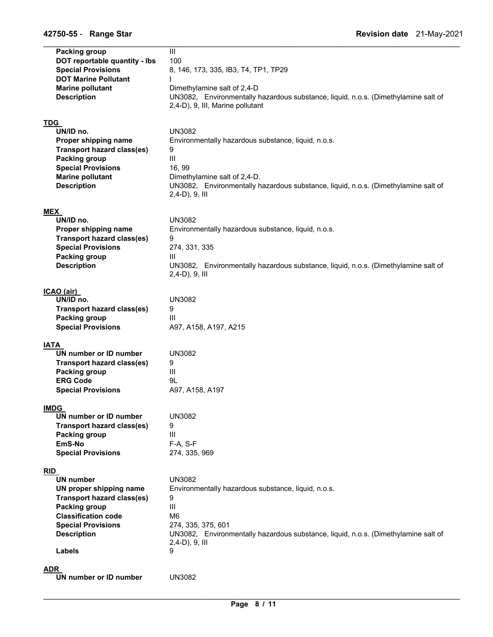| <b>Packing group</b>              | Ш                                                                                                         |
|-----------------------------------|-----------------------------------------------------------------------------------------------------------|
| DOT reportable quantity - Ibs     | 100                                                                                                       |
| <b>Special Provisions</b>         | 8, 146, 173, 335, IB3, T4, TP1, TP29                                                                      |
| <b>DOT Marine Pollutant</b>       |                                                                                                           |
| <b>Marine pollutant</b>           | Dimethylamine salt of 2,4-D                                                                               |
| <b>Description</b>                | UN3082, Environmentally hazardous substance, liquid, n.o.s. (Dimethylamine salt of                        |
|                                   | 2,4-D), 9, III, Marine pollutant                                                                          |
| TDG                               |                                                                                                           |
| UN/ID no.                         | <b>UN3082</b>                                                                                             |
| Proper shipping name              | Environmentally hazardous substance, liquid, n.o.s.                                                       |
| Transport hazard class(es)        | 9                                                                                                         |
| <b>Packing group</b>              | $\mathbf{III}$                                                                                            |
| <b>Special Provisions</b>         | 16, 99                                                                                                    |
| <b>Marine pollutant</b>           | Dimethylamine salt of 2,4-D.                                                                              |
| <b>Description</b>                | UN3082, Environmentally hazardous substance, liquid, n.o.s. (Dimethylamine salt of                        |
|                                   | $2,4-D$ ), 9, III                                                                                         |
|                                   |                                                                                                           |
| MEX<br>UN/ID no.                  | <b>UN3082</b>                                                                                             |
| Proper shipping name              | Environmentally hazardous substance, liquid, n.o.s.                                                       |
| Transport hazard class(es)        | 9                                                                                                         |
| <b>Special Provisions</b>         | 274, 331, 335                                                                                             |
| <b>Packing group</b>              | Ш                                                                                                         |
| <b>Description</b>                |                                                                                                           |
|                                   | UN3082, Environmentally hazardous substance, liquid, n.o.s. (Dimethylamine salt of<br>$2,4-D$ ), $9,$ III |
|                                   |                                                                                                           |
| ICAO (air)                        |                                                                                                           |
| UN/ID no.                         | <b>UN3082</b>                                                                                             |
| <b>Transport hazard class(es)</b> | 9                                                                                                         |
| <b>Packing group</b>              | Ш                                                                                                         |
| <b>Special Provisions</b>         | A97, A158, A197, A215                                                                                     |
| IATA                              |                                                                                                           |
| UN number or ID number            | <b>UN3082</b>                                                                                             |
| <b>Transport hazard class(es)</b> | 9                                                                                                         |
| Packing group                     | Ш                                                                                                         |
| <b>ERG Code</b>                   | 9L                                                                                                        |
| <b>Special Provisions</b>         | A97, A158, A197                                                                                           |
|                                   |                                                                                                           |
| IMDG                              |                                                                                                           |
| UN number or ID number            | <b>UN3082</b>                                                                                             |
| <b>Transport hazard class(es)</b> | 9                                                                                                         |
| Packing group                     | Ш                                                                                                         |
| EmS-No                            | F-A, S-F                                                                                                  |
| <b>Special Provisions</b>         | 274, 335, 969                                                                                             |
| <u>RID</u>                        |                                                                                                           |
| UN number                         | <b>UN3082</b>                                                                                             |
| UN proper shipping name           | Environmentally hazardous substance, liquid, n.o.s.                                                       |
| <b>Transport hazard class(es)</b> | 9                                                                                                         |
| <b>Packing group</b>              | III                                                                                                       |
| <b>Classification code</b>        | M6                                                                                                        |
| <b>Special Provisions</b>         | 274, 335, 375, 601                                                                                        |
| <b>Description</b>                | UN3082, Environmentally hazardous substance, liquid, n.o.s. (Dimethylamine salt of                        |
|                                   | $2,4-D$ ), 9, III                                                                                         |
| Labels                            | 9                                                                                                         |
|                                   |                                                                                                           |
| ADR                               |                                                                                                           |
| UN number or ID number            | <b>UN3082</b>                                                                                             |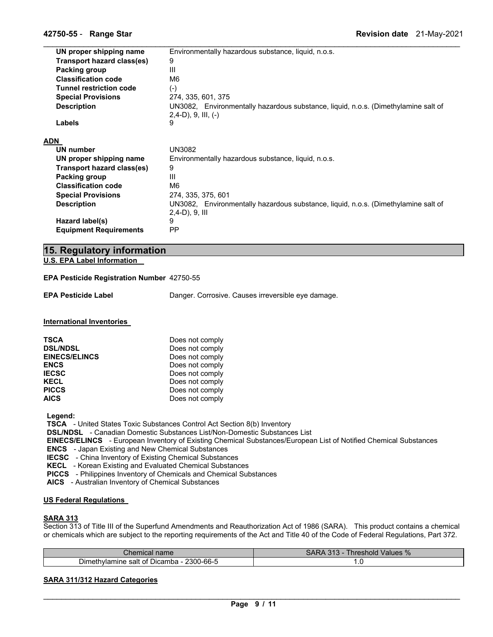| UN proper shipping name        | Environmentally hazardous substance, liquid, n.o.s.                                |
|--------------------------------|------------------------------------------------------------------------------------|
| Transport hazard class(es)     | 9                                                                                  |
| Packing group                  | Ш                                                                                  |
| <b>Classification code</b>     | M <sub>6</sub>                                                                     |
| <b>Tunnel restriction code</b> | $(-)$                                                                              |
| <b>Special Provisions</b>      | 274, 335, 601, 375                                                                 |
| <b>Description</b>             | UN3082, Environmentally hazardous substance, liquid, n.o.s. (Dimethylamine salt of |
|                                | $2,4-D$ , 9, III, $(-)$                                                            |
| Labels                         | 9                                                                                  |
|                                |                                                                                    |
| ADN                            |                                                                                    |
| <b>UN number</b>               | <b>UN3082</b>                                                                      |
| UN proper shipping name        | Environmentally hazardous substance, liquid, n.o.s.                                |
| Transport hazard class(es)     | 9                                                                                  |
| Packing group                  | Ш                                                                                  |
| <b>Classification code</b>     | M <sub>6</sub>                                                                     |
| <b>Special Provisions</b>      | 274, 335, 375, 601                                                                 |
| <b>Description</b>             | UN3082, Environmentally hazardous substance, liquid, n.o.s. (Dimethylamine salt of |
|                                | $(2,4-D)$ , 9, III                                                                 |
| Hazard label(s)                | 9                                                                                  |
| <b>Equipment Requirements</b>  | PP                                                                                 |
|                                |                                                                                    |

## **15. Regulatory information**

**U.S. EPA Label Information** 

### **EPA Pesticide Registration Number** 42750-55

**EPA Pesticide Label** Danger. Corrosive. Causes irreversible eye damage.

## **International Inventories**

| TSCA                 | Does not comply |
|----------------------|-----------------|
| <b>DSL/NDSL</b>      | Does not comply |
| <b>EINECS/ELINCS</b> | Does not comply |
| ENCS                 | Does not comply |
| IECSC                | Does not comply |
| KECL                 | Does not comply |
| PICCS                | Does not comply |
| AICS.                | Does not comply |
|                      |                 |

**Legend:** 

**TSCA** - United States Toxic Substances Control Act Section 8(b) Inventory

**DSL/NDSL** - Canadian Domestic Substances List/Non-Domestic Substances List

**EINECS/ELINCS** - European Inventory of Existing Chemical Substances/European List of Notified Chemical Substances

**ENCS** - Japan Existing and New Chemical Substances

**IECSC** - China Inventory of Existing Chemical Substances

**KECL** - Korean Existing and Evaluated Chemical Substances

**PICCS** - Philippines Inventory of Chemicals and Chemical Substances

**AICS** - Australian Inventory of Chemical Substances

## **US Federal Regulations**

## **SARA 313**

Section 313 of Title III of the Superfund Amendments and Reauthorization Act of 1986 (SARA). This product contains a chemical or chemicals which are subject to the reporting requirements of the Act and Title 40 of the Code of Federal Regulations, Part 372.

| Chemical name                                | י י<br>Values<br>hreshold<br>הור.<br>70 |
|----------------------------------------------|-----------------------------------------|
| 2300-66-5<br>Dimethylamine salt of Dicamba - | ں.                                      |

## **SARA 311/312 Hazard Categories**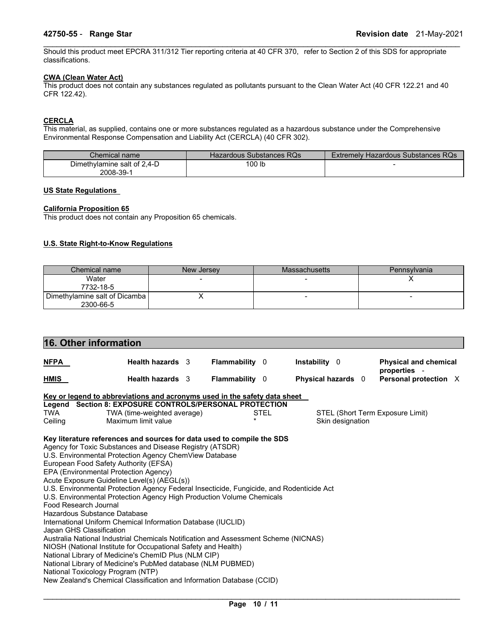Should this product meet EPCRA 311/312 Tier reporting criteria at 40 CFR 370, refer to Section 2 of this SDS for appropriate classifications.

\_\_\_\_\_\_\_\_\_\_\_\_\_\_\_\_\_\_\_\_\_\_\_\_\_\_\_\_\_\_\_\_\_\_\_\_\_\_\_\_\_\_\_\_\_\_\_\_\_\_\_\_\_\_\_\_\_\_\_\_\_\_\_\_\_\_\_\_\_\_\_\_\_\_\_\_\_\_\_\_\_\_\_\_\_\_\_\_\_\_\_\_\_

#### **CWA (Clean Water Act)**

This product does not contain any substances regulated as pollutants pursuant to the Clean Water Act (40 CFR 122.21 and 40 CFR 122.42).

## **CERCLA**

This material, as supplied, contains one or more substances regulated as a hazardous substance under the Comprehensive Environmental Response Compensation and Liability Act (CERCLA) (40 CFR 302).

| $\mathcal C$ hemical name   | Hazardous Substances RQs | <b>Extremely Hazardous Substances RQs</b> |
|-----------------------------|--------------------------|-------------------------------------------|
| Dimethylamine salt of 2,4-D | 100 lb                   |                                           |
| 2008-39-1                   |                          |                                           |

## **US State Regulations**

## **California Proposition 65**

This product does not contain any Proposition 65 chemicals.

## **U.S. State Right-to-Know Regulations**

| Chemical name                              | New Jersey | <b>Massachusetts</b>     | Pennsylvania |
|--------------------------------------------|------------|--------------------------|--------------|
| Water<br>7732-18-5                         |            |                          |              |
| Dimethylamine salt of Dicamba<br>2300-66-5 |            | $\overline{\phantom{0}}$ | -            |

| 16. Other information                                                                                                                                                                                                                                                                                                                                                                                                                                                                                                                                                                                                                                                                                                                                                                                                                                                                                                                                                                                                                                |  |                                      |  |                                                |  |                                                   |  |                                                                       |  |
|------------------------------------------------------------------------------------------------------------------------------------------------------------------------------------------------------------------------------------------------------------------------------------------------------------------------------------------------------------------------------------------------------------------------------------------------------------------------------------------------------------------------------------------------------------------------------------------------------------------------------------------------------------------------------------------------------------------------------------------------------------------------------------------------------------------------------------------------------------------------------------------------------------------------------------------------------------------------------------------------------------------------------------------------------|--|--------------------------------------|--|------------------------------------------------|--|---------------------------------------------------|--|-----------------------------------------------------------------------|--|
| <b>NFPA</b><br><b>HMIS</b>                                                                                                                                                                                                                                                                                                                                                                                                                                                                                                                                                                                                                                                                                                                                                                                                                                                                                                                                                                                                                           |  | Health hazards 3<br>Health hazards 3 |  | <b>Flammability 0</b><br><b>Flammability 0</b> |  | <b>Instability</b> 0<br><b>Physical hazards</b> 0 |  | <b>Physical and chemical</b><br>properties -<br>Personal protection X |  |
| Key or legend to abbreviations and acronyms used in the safety data sheet<br>Legend Section 8: EXPOSURE CONTROLS/PERSONAL PROTECTION<br>TWA<br>TWA (time-weighted average)<br>STEL<br>STEL (Short Term Exposure Limit)<br>$\ast$<br>Maximum limit value<br>Ceiling<br>Skin designation                                                                                                                                                                                                                                                                                                                                                                                                                                                                                                                                                                                                                                                                                                                                                               |  |                                      |  |                                                |  |                                                   |  |                                                                       |  |
| Key literature references and sources for data used to compile the SDS<br>Agency for Toxic Substances and Disease Registry (ATSDR)<br>U.S. Environmental Protection Agency ChemView Database<br>European Food Safety Authority (EFSA)<br>EPA (Environmental Protection Agency)<br>Acute Exposure Guideline Level(s) (AEGL(s))<br>U.S. Environmental Protection Agency Federal Insecticide, Fungicide, and Rodenticide Act<br>U.S. Environmental Protection Agency High Production Volume Chemicals<br>Food Research Journal<br>Hazardous Substance Database<br>International Uniform Chemical Information Database (IUCLID)<br>Japan GHS Classification<br>Australia National Industrial Chemicals Notification and Assessment Scheme (NICNAS)<br>NIOSH (National Institute for Occupational Safety and Health)<br>National Library of Medicine's ChemID Plus (NLM CIP)<br>National Library of Medicine's PubMed database (NLM PUBMED)<br>National Toxicology Program (NTP)<br>New Zealand's Chemical Classification and Information Database (CCID) |  |                                      |  |                                                |  |                                                   |  |                                                                       |  |